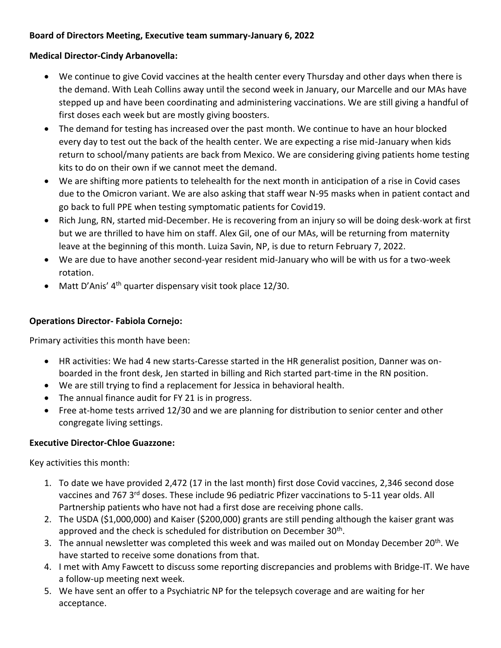# **Board of Directors Meeting, Executive team summary-January 6, 2022**

# **Medical Director-Cindy Arbanovella:**

- We continue to give Covid vaccines at the health center every Thursday and other days when there is the demand. With Leah Collins away until the second week in January, our Marcelle and our MAs have stepped up and have been coordinating and administering vaccinations. We are still giving a handful of first doses each week but are mostly giving boosters.
- The demand for testing has increased over the past month. We continue to have an hour blocked every day to test out the back of the health center. We are expecting a rise mid-January when kids return to school/many patients are back from Mexico. We are considering giving patients home testing kits to do on their own if we cannot meet the demand.
- We are shifting more patients to telehealth for the next month in anticipation of a rise in Covid cases due to the Omicron variant. We are also asking that staff wear N-95 masks when in patient contact and go back to full PPE when testing symptomatic patients for Covid19.
- Rich Jung, RN, started mid-December. He is recovering from an injury so will be doing desk-work at first but we are thrilled to have him on staff. Alex Gil, one of our MAs, will be returning from maternity leave at the beginning of this month. Luiza Savin, NP, is due to return February 7, 2022.
- We are due to have another second-year resident mid-January who will be with us for a two-week rotation.
- $\bullet$  Matt D'Anis' 4<sup>th</sup> quarter dispensary visit took place 12/30.

# **Operations Director- Fabiola Cornejo:**

Primary activities this month have been:

- HR activities: We had 4 new starts-Caresse started in the HR generalist position, Danner was onboarded in the front desk, Jen started in billing and Rich started part-time in the RN position.
- We are still trying to find a replacement for Jessica in behavioral health.
- The annual finance audit for FY 21 is in progress.
- Free at-home tests arrived 12/30 and we are planning for distribution to senior center and other congregate living settings.

# **Executive Director-Chloe Guazzone:**

Key activities this month:

- 1. To date we have provided 2,472 (17 in the last month) first dose Covid vaccines, 2,346 second dose vaccines and 767 3<sup>rd</sup> doses. These include 96 pediatric Pfizer vaccinations to 5-11 year olds. All Partnership patients who have not had a first dose are receiving phone calls.
- 2. The USDA (\$1,000,000) and Kaiser (\$200,000) grants are still pending although the kaiser grant was approved and the check is scheduled for distribution on December 30<sup>th</sup>.
- 3. The annual newsletter was completed this week and was mailed out on Monday December 20<sup>th</sup>. We have started to receive some donations from that.
- 4. I met with Amy Fawcett to discuss some reporting discrepancies and problems with Bridge-IT. We have a follow-up meeting next week.
- 5. We have sent an offer to a Psychiatric NP for the telepsych coverage and are waiting for her acceptance.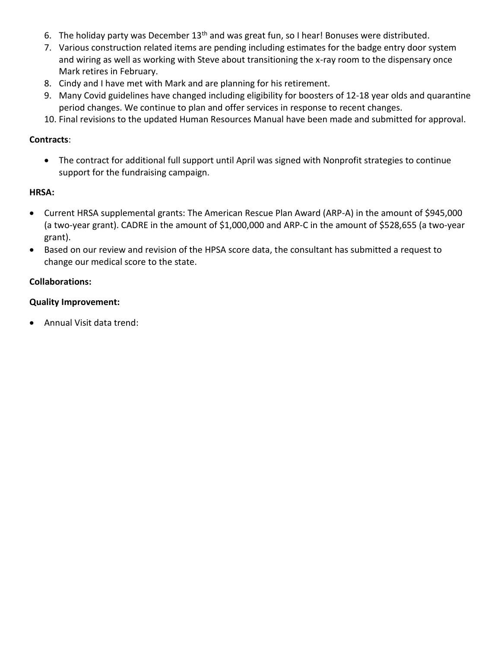- 6. The holiday party was December 13<sup>th</sup> and was great fun, so I hear! Bonuses were distributed.
- 7. Various construction related items are pending including estimates for the badge entry door system and wiring as well as working with Steve about transitioning the x-ray room to the dispensary once Mark retires in February.
- 8. Cindy and I have met with Mark and are planning for his retirement.
- 9. Many Covid guidelines have changed including eligibility for boosters of 12-18 year olds and quarantine period changes. We continue to plan and offer services in response to recent changes.
- 10. Final revisions to the updated Human Resources Manual have been made and submitted for approval.

## **Contracts**:

 The contract for additional full support until April was signed with Nonprofit strategies to continue support for the fundraising campaign.

## **HRSA:**

- Current HRSA supplemental grants: The American Rescue Plan Award (ARP-A) in the amount of \$945,000 (a two-year grant). CADRE in the amount of \$1,000,000 and ARP-C in the amount of \$528,655 (a two-year grant).
- Based on our review and revision of the HPSA score data, the consultant has submitted a request to change our medical score to the state.

## **Collaborations:**

## **Quality Improvement:**

Annual Visit data trend: